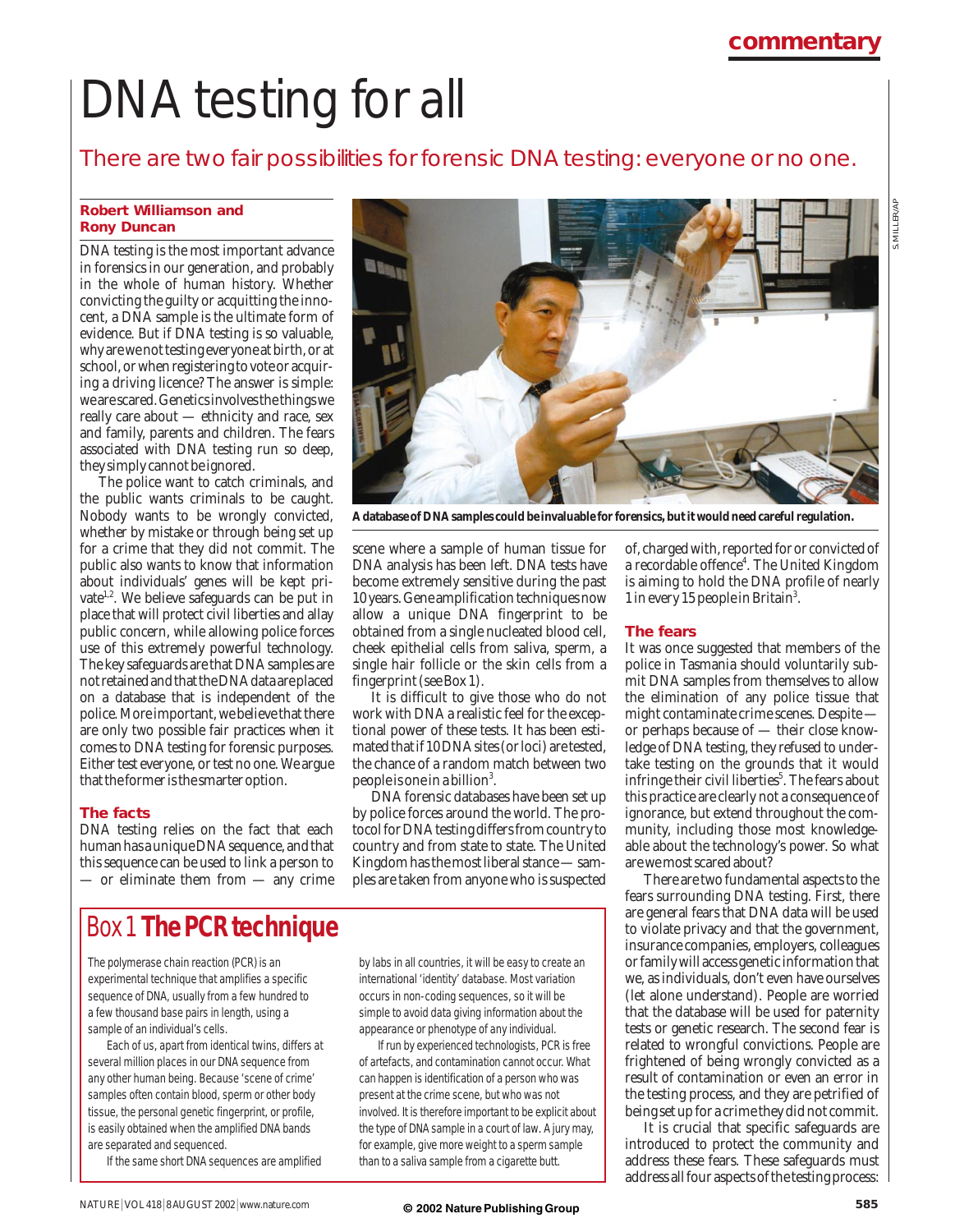# DNA testing for all

There are two fair possibilities for forensic DNA testing: everyone or no one.

#### **Robert Williamson and Rony Duncan**

DNA testing is the most important advance in forensics in our generation, and probably in the whole of human history. Whether convicting the guilty or acquitting the innocent, a DNA sample is the ultimate form of evidence. But if DNA testing is so valuable, why are we not testing everyone at birth, or at school, or when registering to vote or acquiring a driving licence? The answer is simple: we are scared. Genetics involves the things we really care about — ethnicity and race, sex and family, parents and children. The fears associated with DNA testing run so deep, they simply cannot be ignored.

The police want to catch criminals, and the public wants criminals to be caught. Nobody wants to be wrongly convicted, whether by mistake or through being set up for a crime that they did not commit. The public also wants to know that information about individuals' genes will be kept private<sup>1,2</sup>. We believe safeguards can be put in place that will protect civil liberties and allay public concern, while allowing police forces use of this extremely powerful technology. The key safeguards are that DNA samples are not retained and that the DNA data are placed on a database that is independent of the police. More important, we believe that there are only two possible fair practices when it comes to DNA testing for forensic purposes. Either test everyone, or test no one. We argue that the former is the smarter option.

#### **The facts**

DNA testing relies on the fact that each human has a unique DNA sequence, and that this sequence can be used to link a person to — or eliminate them from — any crime



**A database of DNA samples could be invaluable for forensics, but it would need careful regulation.**

scene where a sample of human tissue for DNA analysis has been left. DNA tests have become extremely sensitive during the past 10 years. Gene amplification techniques now allow a unique DNA fingerprint to be obtained from a single nucleated blood cell, cheek epithelial cells from saliva, sperm, a single hair follicle or the skin cells from a fingerprint (see Box 1).

It is difficult to give those who do not work with DNA a realistic feel for the exceptional power of these tests. It has been estimated that if 10 DNA sites (or loci) are tested, the chance of a random match between two people is one in a billion<sup>3</sup>.

DNA forensic databases have been set up by police forces around the world. The protocol for DNA testing differs from country to country and from state to state. The United Kingdom has the most liberal stance — samples are taken from anyone who is suspected

## Box 1 **The PCR technique**

The polymerase chain reaction (PCR) is an experimental technique that amplifies a specific sequence of DNA, usually from a few hundred to a few thousand base pairs in length, using a sample of an individual's cells.

Each of us, apart from identical twins, differs at several million places in our DNA sequence from any other human being. Because 'scene of crime' samples often contain blood, sperm or other body tissue, the personal genetic fingerprint, or profile, is easily obtained when the amplified DNA bands are separated and sequenced.

If the same short DNA sequences are amplified

by labs in all countries, it will be easy to create an international 'identity' database. Most variation occurs in non-coding sequences, so it will be simple to avoid data giving information about the appearance or phenotype of any individual.

If run by experienced technologists, PCR is free of artefacts, and contamination cannot occur. What can happen is identification of a person who was present at the crime scene, but who was not involved. It is therefore important to be explicit about the type of DNA sample in a court of law. A jury may, for example, give more weight to a sperm sample than to a saliva sample from a cigarette butt.

of, charged with, reported for or convicted of a recordable offence<sup>4</sup>. The United Kingdom is aiming to hold the DNA profile of nearly 1 in every 15 people in Britain3 .

#### **The fears**

It was once suggested that members of the police in Tasmania should voluntarily submit DNA samples from themselves to allow the elimination of any police tissue that might contaminate crime scenes. Despite or perhaps because of — their close knowledge of DNA testing, they refused to undertake testing on the grounds that it would infringe their civil liberties<sup>5</sup>. The fears about this practice are clearly not a consequence of ignorance, but extend throughout the community, including those most knowledgeable about the technology's power. So what are we most scared about?

There are two fundamental aspects to the fears surrounding DNA testing. First, there are general fears that DNA data will be used to violate privacy and that the government, insurance companies, employers, colleagues or family will access genetic information that we, as individuals, don't even have ourselves (let alone understand). People are worried that the database will be used for paternity tests or genetic research. The second fear is related to wrongful convictions. People are frightened of being wrongly convicted as a result of contamination or even an error in the testing process, and they are petrified of being set up for a crime they did not commit.

It is crucial that specific safeguards are introduced to protect the community and address these fears. These safeguards must address all four aspects of the testing process: